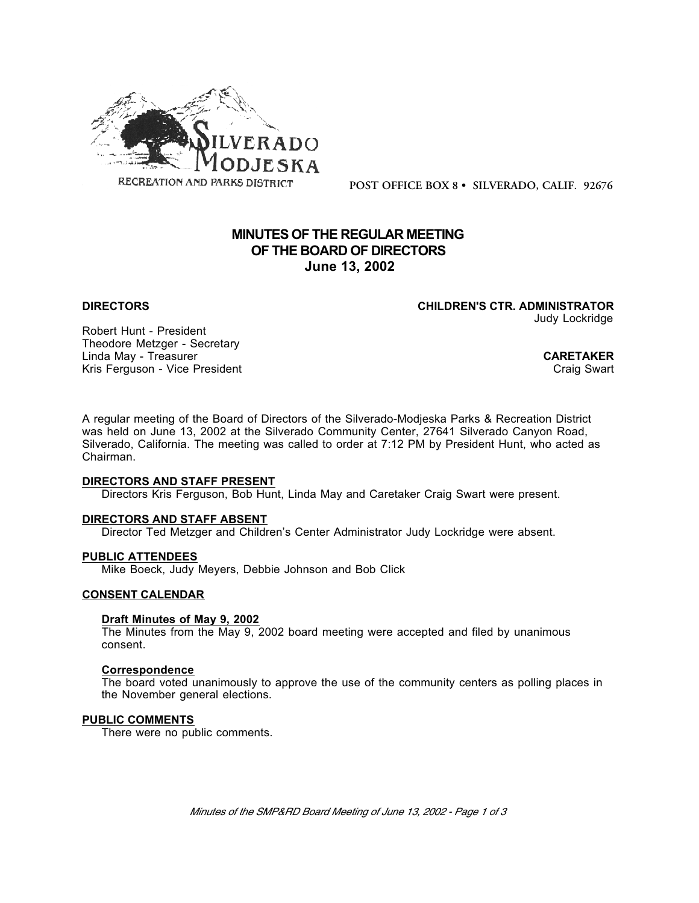

**POST OFFICE BOX 8 • SILVERADO, CALIF. 92676**

# **MINUTES OF THE REGULAR MEETING OF THE BOARD OF DIRECTORS June 13, 2002**

**DIRECTORS CHILDREN'S CTR. ADMINISTRATOR** Judy Lockridge

Robert Hunt - President Theodore Metzger - Secretary Linda May - Treasurer **CARETAKER**<br>
Kris Ferguson - Vice President **CARETAKER**<br>
Craig Swart Kris Ferguson - Vice President

A regular meeting of the Board of Directors of the Silverado-Modjeska Parks & Recreation District was held on June 13, 2002 at the Silverado Community Center, 27641 Silverado Canyon Road, Silverado, California. The meeting was called to order at 7:12 PM by President Hunt, who acted as Chairman.

#### **DIRECTORS AND STAFF PRESENT**

Directors Kris Ferguson, Bob Hunt, Linda May and Caretaker Craig Swart were present.

#### **DIRECTORS AND STAFF ABSENT**

Director Ted Metzger and Children's Center Administrator Judy Lockridge were absent.

# **PUBLIC ATTENDEES**

Mike Boeck, Judy Meyers, Debbie Johnson and Bob Click

# **CONSENT CALENDAR**

#### **Draft Minutes of May 9, 2002**

The Minutes from the May 9, 2002 board meeting were accepted and filed by unanimous consent.

#### **Correspondence**

The board voted unanimously to approve the use of the community centers as polling places in the November general elections.

### **PUBLIC COMMENTS**

There were no public comments.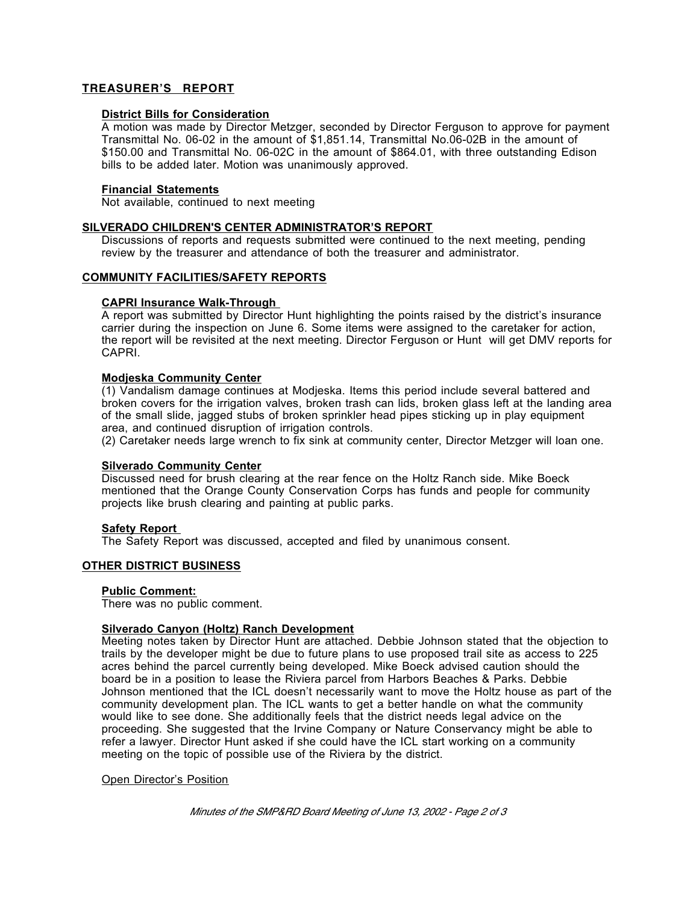# **TREASURER'S REPORT**

# **District Bills for Consideration**

A motion was made by Director Metzger, seconded by Director Ferguson to approve for payment Transmittal No. 06-02 in the amount of \$1,851.14, Transmittal No.06-02B in the amount of \$150.00 and Transmittal No. 06-02C in the amount of \$864.01, with three outstanding Edison bills to be added later. Motion was unanimously approved.

# **Financial Statements**

Not available, continued to next meeting

# **SILVERADO CHILDREN'S CENTER ADMINISTRATOR'S REPORT**

Discussions of reports and requests submitted were continued to the next meeting, pending review by the treasurer and attendance of both the treasurer and administrator.

# **COMMUNITY FACILITIES/SAFETY REPORTS**

# **CAPRI Insurance Walk-Through**

A report was submitted by Director Hunt highlighting the points raised by the district's insurance carrier during the inspection on June 6. Some items were assigned to the caretaker for action, the report will be revisited at the next meeting. Director Ferguson or Hunt will get DMV reports for CAPRI.

### **Modjeska Community Center**

(1) Vandalism damage continues at Modjeska. Items this period include several battered and broken covers for the irrigation valves, broken trash can lids, broken glass left at the landing area of the small slide, jagged stubs of broken sprinkler head pipes sticking up in play equipment area, and continued disruption of irrigation controls.

(2) Caretaker needs large wrench to fix sink at community center, Director Metzger will loan one.

### **Silverado Community Center**

Discussed need for brush clearing at the rear fence on the Holtz Ranch side. Mike Boeck mentioned that the Orange County Conservation Corps has funds and people for community projects like brush clearing and painting at public parks.

### **Safety Report**

The Safety Report was discussed, accepted and filed by unanimous consent.

# **OTHER DISTRICT BUSINESS**

### **Public Comment:**

There was no public comment.

# **Silverado Canyon (Holtz) Ranch Development**

Meeting notes taken by Director Hunt are attached. Debbie Johnson stated that the objection to trails by the developer might be due to future plans to use proposed trail site as access to 225 acres behind the parcel currently being developed. Mike Boeck advised caution should the board be in a position to lease the Riviera parcel from Harbors Beaches & Parks. Debbie Johnson mentioned that the ICL doesn't necessarily want to move the Holtz house as part of the community development plan. The ICL wants to get a better handle on what the community would like to see done. She additionally feels that the district needs legal advice on the proceeding. She suggested that the Irvine Company or Nature Conservancy might be able to refer a lawyer. Director Hunt asked if she could have the ICL start working on a community meeting on the topic of possible use of the Riviera by the district.

# Open Director's Position